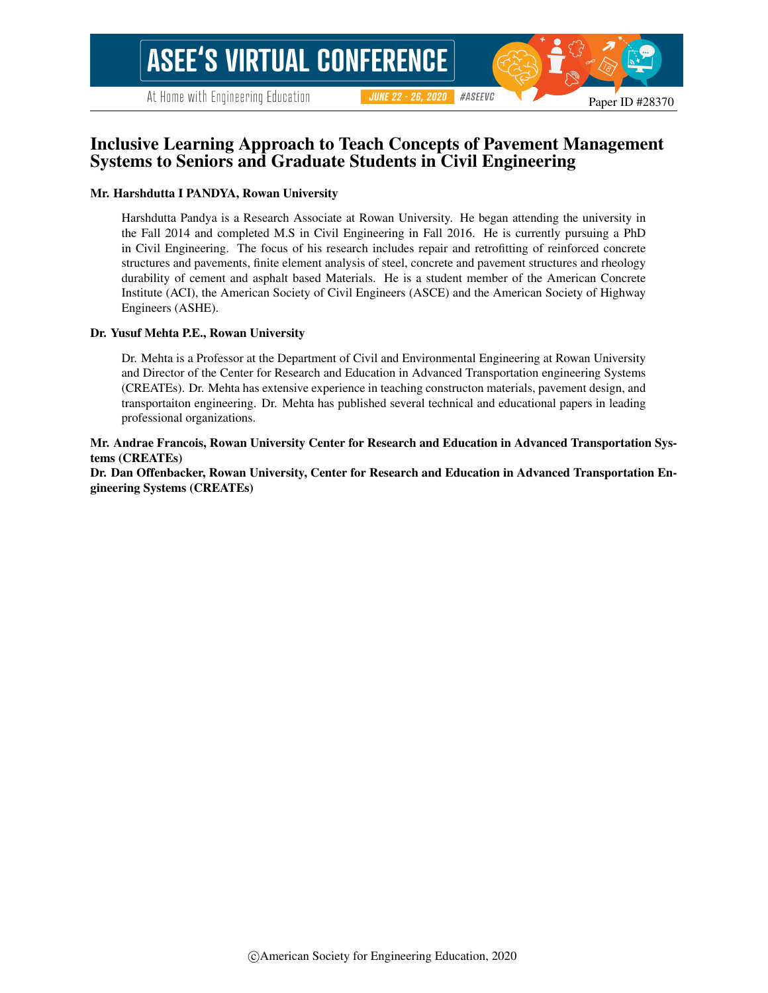At Home with Engineering Education

#### #ASEEVC **JUNE 22 - 26, 2020**

# Inclusive Learning Approach to Teach Concepts of Pavement Management Systems to Seniors and Graduate Students in Civil Engineering

#### Mr. Harshdutta I PANDYA, Rowan University

Harshdutta Pandya is a Research Associate at Rowan University. He began attending the university in the Fall 2014 and completed M.S in Civil Engineering in Fall 2016. He is currently pursuing a PhD in Civil Engineering. The focus of his research includes repair and retrofitting of reinforced concrete structures and pavements, finite element analysis of steel, concrete and pavement structures and rheology durability of cement and asphalt based Materials. He is a student member of the American Concrete Institute (ACI), the American Society of Civil Engineers (ASCE) and the American Society of Highway Engineers (ASHE).

#### Dr. Yusuf Mehta P.E., Rowan University

Dr. Mehta is a Professor at the Department of Civil and Environmental Engineering at Rowan University and Director of the Center for Research and Education in Advanced Transportation engineering Systems (CREATEs). Dr. Mehta has extensive experience in teaching constructon materials, pavement design, and transportaiton engineering. Dr. Mehta has published several technical and educational papers in leading professional organizations.

Mr. Andrae Francois, Rowan University Center for Research and Education in Advanced Transportation Systems (CREATEs)

Dr. Dan Offenbacker, Rowan University, Center for Research and Education in Advanced Transportation Engineering Systems (CREATEs)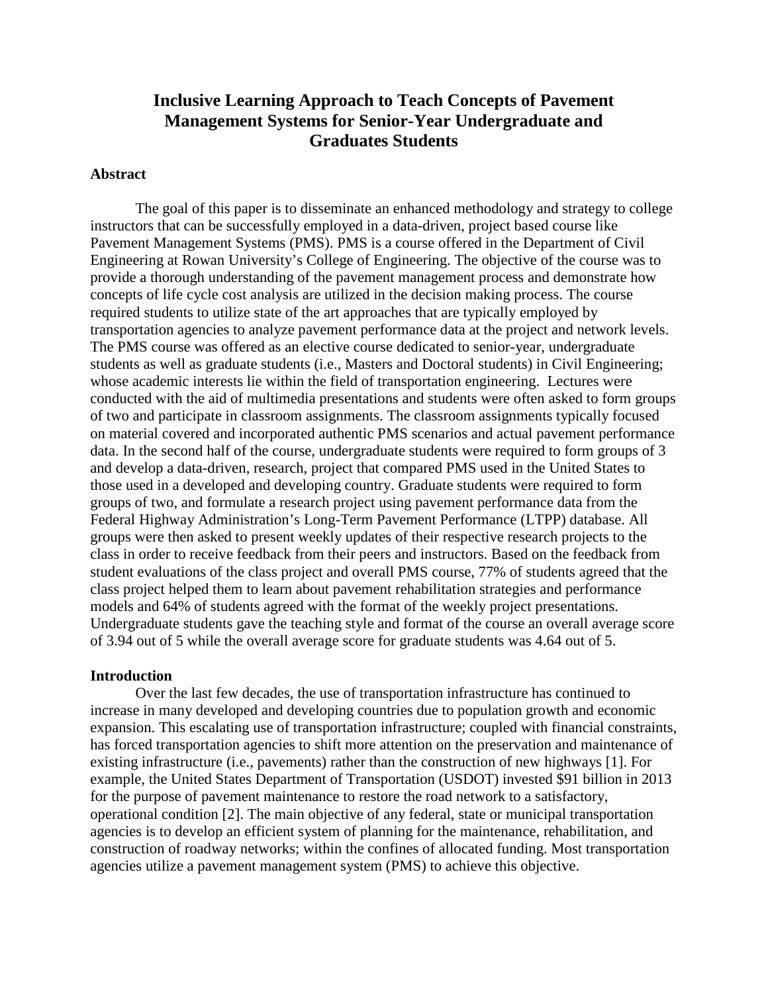# **Inclusive Learning Approach to Teach Concepts of Pavement Management Systems for Senior-Year Undergraduate and Graduates Students**

#### **Abstract**

The goal of this paper is to disseminate an enhanced methodology and strategy to college instructors that can be successfully employed in a data-driven, project based course like Pavement Management Systems (PMS). PMS is a course offered in the Department of Civil Engineering at Rowan University's College of Engineering. The objective of the course was to provide a thorough understanding of the pavement management process and demonstrate how concepts of life cycle cost analysis are utilized in the decision making process. The course required students to utilize state of the art approaches that are typically employed by transportation agencies to analyze pavement performance data at the project and network levels. The PMS course was offered as an elective course dedicated to senior-year, undergraduate students as well as graduate students (i.e., Masters and Doctoral students) in Civil Engineering; whose academic interests lie within the field of transportation engineering. Lectures were conducted with the aid of multimedia presentations and students were often asked to form groups of two and participate in classroom assignments. The classroom assignments typically focused on material covered and incorporated authentic PMS scenarios and actual pavement performance data. In the second half of the course, undergraduate students were required to form groups of 3 and develop a data-driven, research, project that compared PMS used in the United States to those used in a developed and developing country. Graduate students were required to form groups of two, and formulate a research project using pavement performance data from the Federal Highway Administration's Long-Term Pavement Performance (LTPP) database. All groups were then asked to present weekly updates of their respective research projects to the class in order to receive feedback from their peers and instructors. Based on the feedback from student evaluations of the class project and overall PMS course, 77% of students agreed that the class project helped them to learn about pavement rehabilitation strategies and performance models and 64% of students agreed with the format of the weekly project presentations. Undergraduate students gave the teaching style and format of the course an overall average score of 3.94 out of 5 while the overall average score for graduate students was 4.64 out of 5.

#### **Introduction**

Over the last few decades, the use of transportation infrastructure has continued to increase in many developed and developing countries due to population growth and economic expansion. This escalating use of transportation infrastructure; coupled with financial constraints, has forced transportation agencies to shift more attention on the preservation and maintenance of existing infrastructure (i.e., pavements) rather than the construction of new highways [1]. For example, the United States Department of Transportation (USDOT) invested \$91 billion in 2013 for the purpose of pavement maintenance to restore the road network to a satisfactory, operational condition [2]. The main objective of any federal, state or municipal transportation agencies is to develop an efficient system of planning for the maintenance, rehabilitation, and construction of roadway networks; within the confines of allocated funding. Most transportation agencies utilize a pavement management system (PMS) to achieve this objective.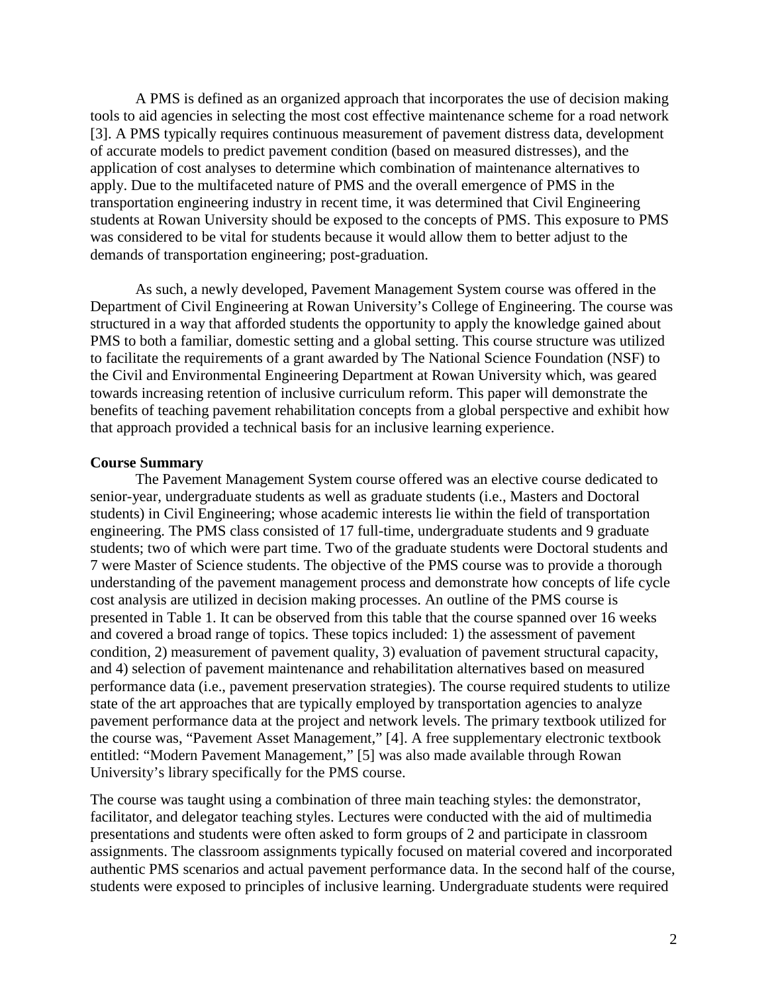A PMS is defined as an organized approach that incorporates the use of decision making tools to aid agencies in selecting the most cost effective maintenance scheme for a road network [3]. A PMS typically requires continuous measurement of pavement distress data, development of accurate models to predict pavement condition (based on measured distresses), and the application of cost analyses to determine which combination of maintenance alternatives to apply. Due to the multifaceted nature of PMS and the overall emergence of PMS in the transportation engineering industry in recent time, it was determined that Civil Engineering students at Rowan University should be exposed to the concepts of PMS. This exposure to PMS was considered to be vital for students because it would allow them to better adjust to the demands of transportation engineering; post-graduation.

As such, a newly developed, Pavement Management System course was offered in the Department of Civil Engineering at Rowan University's College of Engineering. The course was structured in a way that afforded students the opportunity to apply the knowledge gained about PMS to both a familiar, domestic setting and a global setting. This course structure was utilized to facilitate the requirements of a grant awarded by The National Science Foundation (NSF) to the Civil and Environmental Engineering Department at Rowan University which, was geared towards increasing retention of inclusive curriculum reform. This paper will demonstrate the benefits of teaching pavement rehabilitation concepts from a global perspective and exhibit how that approach provided a technical basis for an inclusive learning experience.

#### **Course Summary**

The Pavement Management System course offered was an elective course dedicated to senior-year, undergraduate students as well as graduate students (i.e., Masters and Doctoral students) in Civil Engineering; whose academic interests lie within the field of transportation engineering. The PMS class consisted of 17 full-time, undergraduate students and 9 graduate students; two of which were part time. Two of the graduate students were Doctoral students and 7 were Master of Science students. The objective of the PMS course was to provide a thorough understanding of the pavement management process and demonstrate how concepts of life cycle cost analysis are utilized in decision making processes. An outline of the PMS course is presented in Table 1. It can be observed from this table that the course spanned over 16 weeks and covered a broad range of topics. These topics included: 1) the assessment of pavement condition, 2) measurement of pavement quality, 3) evaluation of pavement structural capacity, and 4) selection of pavement maintenance and rehabilitation alternatives based on measured performance data (i.e., pavement preservation strategies). The course required students to utilize state of the art approaches that are typically employed by transportation agencies to analyze pavement performance data at the project and network levels. The primary textbook utilized for the course was, "Pavement Asset Management," [4]. A free supplementary electronic textbook entitled: "Modern Pavement Management," [5] was also made available through Rowan University's library specifically for the PMS course.

The course was taught using a combination of three main teaching styles: the demonstrator, facilitator, and delegator teaching styles. Lectures were conducted with the aid of multimedia presentations and students were often asked to form groups of 2 and participate in classroom assignments. The classroom assignments typically focused on material covered and incorporated authentic PMS scenarios and actual pavement performance data. In the second half of the course, students were exposed to principles of inclusive learning. Undergraduate students were required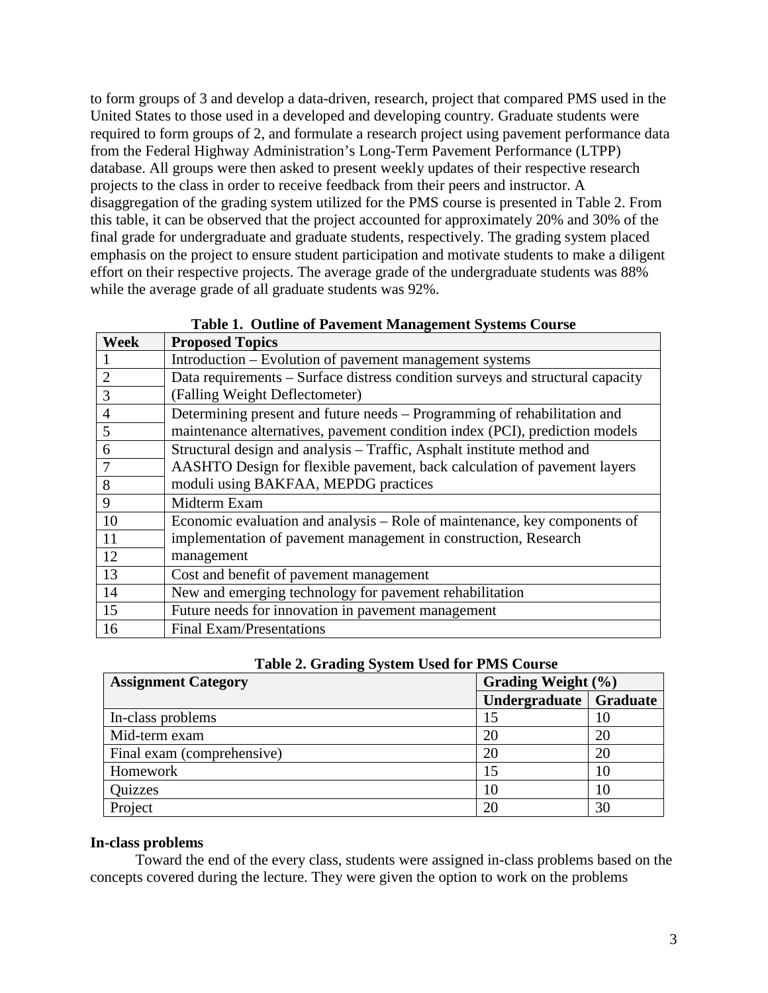to form groups of 3 and develop a data-driven, research, project that compared PMS used in the United States to those used in a developed and developing country. Graduate students were required to form groups of 2, and formulate a research project using pavement performance data from the Federal Highway Administration's Long-Term Pavement Performance (LTPP) database. All groups were then asked to present weekly updates of their respective research projects to the class in order to receive feedback from their peers and instructor. A disaggregation of the grading system utilized for the PMS course is presented in Table 2. From this table, it can be observed that the project accounted for approximately 20% and 30% of the final grade for undergraduate and graduate students, respectively. The grading system placed emphasis on the project to ensure student participation and motivate students to make a diligent effort on their respective projects. The average grade of the undergraduate students was 88% while the average grade of all graduate students was 92%.

| Week           | <b>Proposed Topics</b>                                                         |
|----------------|--------------------------------------------------------------------------------|
|                | Introduction – Evolution of pavement management systems                        |
| $\overline{2}$ | Data requirements – Surface distress condition surveys and structural capacity |
| 3              | (Falling Weight Deflectometer)                                                 |
| $\overline{4}$ | Determining present and future needs – Programming of rehabilitation and       |
| 5              | maintenance alternatives, pavement condition index (PCI), prediction models    |
| 6              | Structural design and analysis – Traffic, Asphalt institute method and         |
| 7              | AASHTO Design for flexible pavement, back calculation of pavement layers       |
| 8              | moduli using BAKFAA, MEPDG practices                                           |
| 9              | Midterm Exam                                                                   |
| 10             | Economic evaluation and analysis – Role of maintenance, key components of      |
| -11            | implementation of pavement management in construction, Research                |
| 12             | management                                                                     |
| 13             | Cost and benefit of pavement management                                        |
| 14             | New and emerging technology for pavement rehabilitation                        |
| 15             | Future needs for innovation in pavement management                             |
| 16             | Final Exam/Presentations                                                       |

**Table 1. Outline of Pavement Management Systems Course**

| Table 2. Grading System Used for PMS Course |  |
|---------------------------------------------|--|
|---------------------------------------------|--|

| <b>Assignment Category</b> | Grading Weight (%)       |    |  |
|----------------------------|--------------------------|----|--|
|                            | Undergraduate   Graduate |    |  |
| In-class problems          |                          | 10 |  |
| Mid-term exam              | 20                       | 20 |  |
| Final exam (comprehensive) | 20                       | 20 |  |
| Homework                   | 15                       | 10 |  |
| Quizzes                    | 10                       | 10 |  |
| Project                    | 20                       | 30 |  |

## **In-class problems**

Toward the end of the every class, students were assigned in-class problems based on the concepts covered during the lecture. They were given the option to work on the problems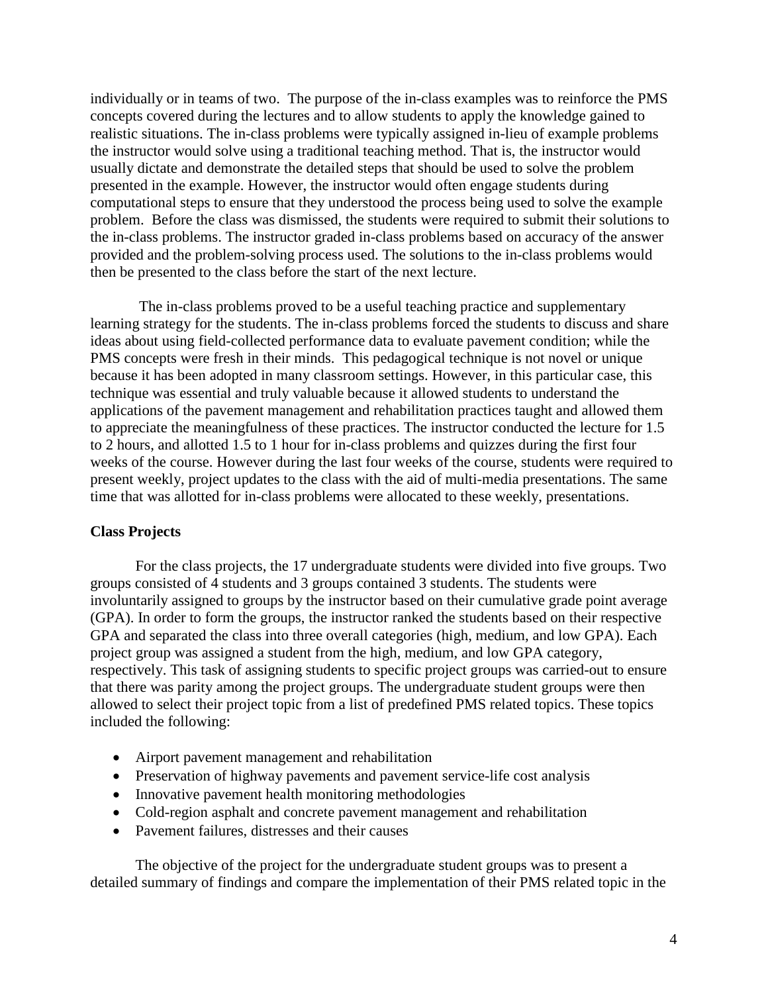individually or in teams of two. The purpose of the in-class examples was to reinforce the PMS concepts covered during the lectures and to allow students to apply the knowledge gained to realistic situations. The in-class problems were typically assigned in-lieu of example problems the instructor would solve using a traditional teaching method. That is, the instructor would usually dictate and demonstrate the detailed steps that should be used to solve the problem presented in the example. However, the instructor would often engage students during computational steps to ensure that they understood the process being used to solve the example problem. Before the class was dismissed, the students were required to submit their solutions to the in-class problems. The instructor graded in-class problems based on accuracy of the answer provided and the problem-solving process used. The solutions to the in-class problems would then be presented to the class before the start of the next lecture.

The in-class problems proved to be a useful teaching practice and supplementary learning strategy for the students. The in-class problems forced the students to discuss and share ideas about using field-collected performance data to evaluate pavement condition; while the PMS concepts were fresh in their minds. This pedagogical technique is not novel or unique because it has been adopted in many classroom settings. However, in this particular case, this technique was essential and truly valuable because it allowed students to understand the applications of the pavement management and rehabilitation practices taught and allowed them to appreciate the meaningfulness of these practices. The instructor conducted the lecture for 1.5 to 2 hours, and allotted 1.5 to 1 hour for in-class problems and quizzes during the first four weeks of the course. However during the last four weeks of the course, students were required to present weekly, project updates to the class with the aid of multi-media presentations. The same time that was allotted for in-class problems were allocated to these weekly, presentations.

## **Class Projects**

For the class projects, the 17 undergraduate students were divided into five groups. Two groups consisted of 4 students and 3 groups contained 3 students. The students were involuntarily assigned to groups by the instructor based on their cumulative grade point average (GPA). In order to form the groups, the instructor ranked the students based on their respective GPA and separated the class into three overall categories (high, medium, and low GPA). Each project group was assigned a student from the high, medium, and low GPA category, respectively. This task of assigning students to specific project groups was carried-out to ensure that there was parity among the project groups. The undergraduate student groups were then allowed to select their project topic from a list of predefined PMS related topics. These topics included the following:

- Airport pavement management and rehabilitation
- Preservation of highway pavements and pavement service-life cost analysis
- Innovative pavement health monitoring methodologies
- Cold-region asphalt and concrete pavement management and rehabilitation
- Pavement failures, distresses and their causes

The objective of the project for the undergraduate student groups was to present a detailed summary of findings and compare the implementation of their PMS related topic in the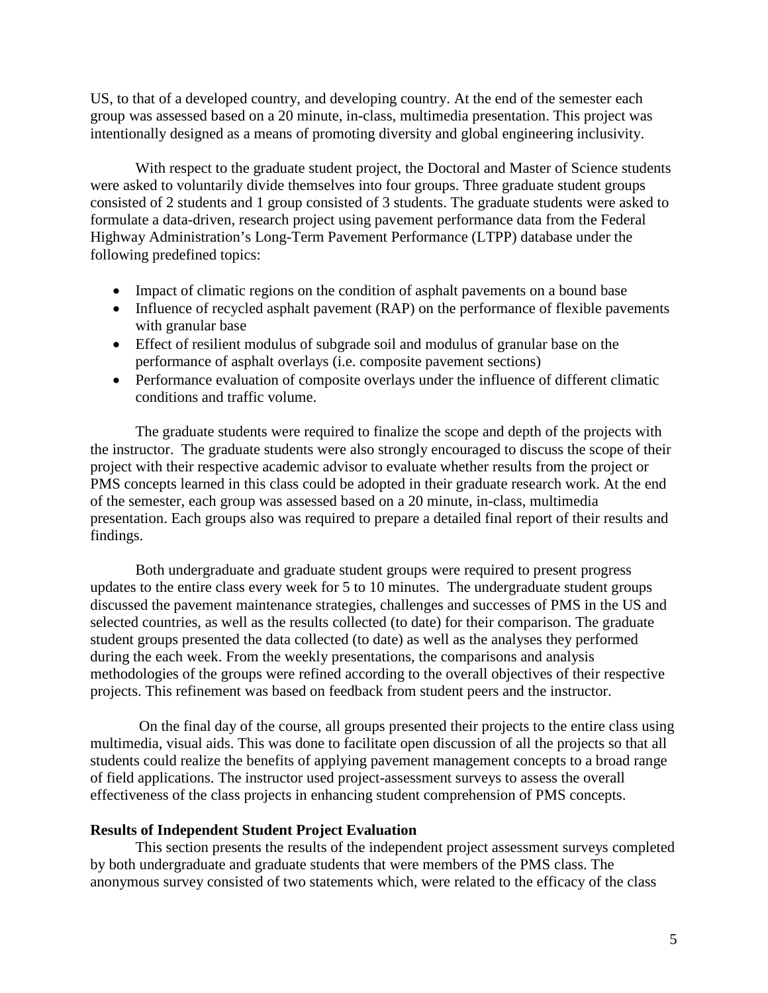US, to that of a developed country, and developing country. At the end of the semester each group was assessed based on a 20 minute, in-class, multimedia presentation. This project was intentionally designed as a means of promoting diversity and global engineering inclusivity.

With respect to the graduate student project, the Doctoral and Master of Science students were asked to voluntarily divide themselves into four groups. Three graduate student groups consisted of 2 students and 1 group consisted of 3 students. The graduate students were asked to formulate a data-driven, research project using pavement performance data from the Federal Highway Administration's Long-Term Pavement Performance (LTPP) database under the following predefined topics:

- Impact of climatic regions on the condition of asphalt pavements on a bound base
- Influence of recycled asphalt pavement (RAP) on the performance of flexible pavements with granular base
- Effect of resilient modulus of subgrade soil and modulus of granular base on the performance of asphalt overlays (i.e. composite pavement sections)
- Performance evaluation of composite overlays under the influence of different climatic conditions and traffic volume.

The graduate students were required to finalize the scope and depth of the projects with the instructor. The graduate students were also strongly encouraged to discuss the scope of their project with their respective academic advisor to evaluate whether results from the project or PMS concepts learned in this class could be adopted in their graduate research work. At the end of the semester, each group was assessed based on a 20 minute, in-class, multimedia presentation. Each groups also was required to prepare a detailed final report of their results and findings.

Both undergraduate and graduate student groups were required to present progress updates to the entire class every week for 5 to 10 minutes. The undergraduate student groups discussed the pavement maintenance strategies, challenges and successes of PMS in the US and selected countries, as well as the results collected (to date) for their comparison. The graduate student groups presented the data collected (to date) as well as the analyses they performed during the each week. From the weekly presentations, the comparisons and analysis methodologies of the groups were refined according to the overall objectives of their respective projects. This refinement was based on feedback from student peers and the instructor.

On the final day of the course, all groups presented their projects to the entire class using multimedia, visual aids. This was done to facilitate open discussion of all the projects so that all students could realize the benefits of applying pavement management concepts to a broad range of field applications. The instructor used project-assessment surveys to assess the overall effectiveness of the class projects in enhancing student comprehension of PMS concepts.

#### **Results of Independent Student Project Evaluation**

This section presents the results of the independent project assessment surveys completed by both undergraduate and graduate students that were members of the PMS class. The anonymous survey consisted of two statements which, were related to the efficacy of the class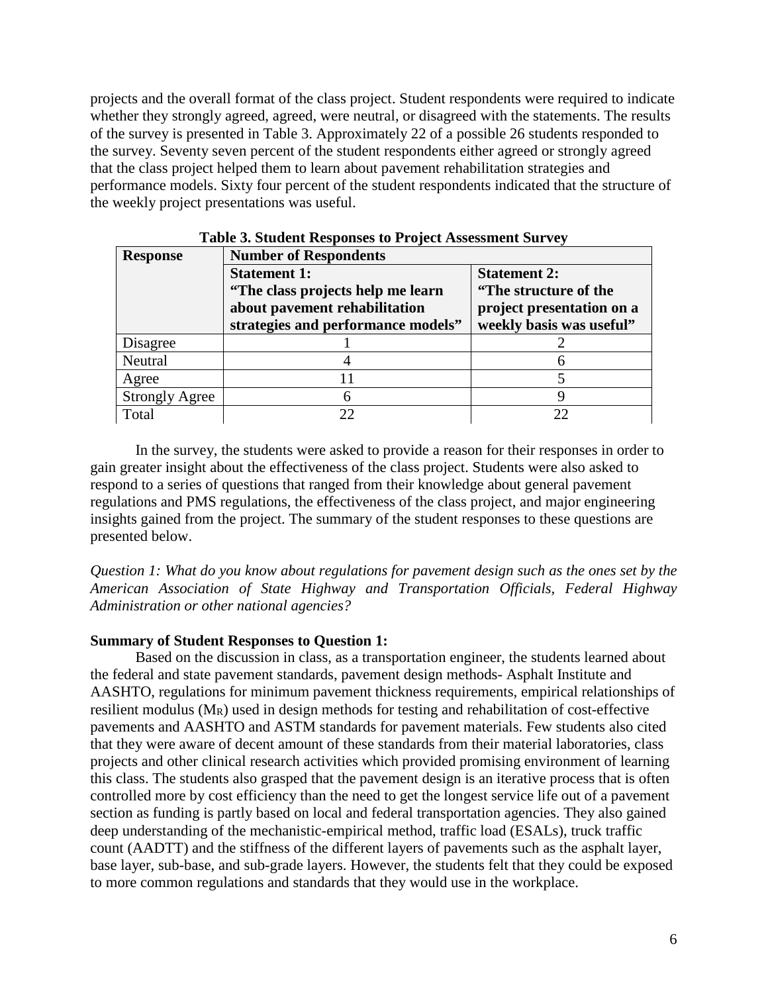projects and the overall format of the class project. Student respondents were required to indicate whether they strongly agreed, agreed, were neutral, or disagreed with the statements. The results of the survey is presented in Table 3. Approximately 22 of a possible 26 students responded to the survey. Seventy seven percent of the student respondents either agreed or strongly agreed that the class project helped them to learn about pavement rehabilitation strategies and performance models. Sixty four percent of the student respondents indicated that the structure of the weekly project presentations was useful.

| <b>Response</b>       | <b>Number of Respondents</b>                                                                                                     |                                                                                                       |  |  |  |  |
|-----------------------|----------------------------------------------------------------------------------------------------------------------------------|-------------------------------------------------------------------------------------------------------|--|--|--|--|
|                       | <b>Statement 1:</b><br>"The class projects help me learn"<br>about pavement rehabilitation<br>strategies and performance models" | <b>Statement 2:</b><br>"The structure of the<br>project presentation on a<br>weekly basis was useful" |  |  |  |  |
| Disagree              |                                                                                                                                  |                                                                                                       |  |  |  |  |
| Neutral               |                                                                                                                                  | 6                                                                                                     |  |  |  |  |
| Agree                 |                                                                                                                                  |                                                                                                       |  |  |  |  |
| <b>Strongly Agree</b> | 6                                                                                                                                | 9                                                                                                     |  |  |  |  |
| Total                 | 22                                                                                                                               | 22                                                                                                    |  |  |  |  |

In the survey, the students were asked to provide a reason for their responses in order to gain greater insight about the effectiveness of the class project. Students were also asked to respond to a series of questions that ranged from their knowledge about general pavement regulations and PMS regulations, the effectiveness of the class project, and major engineering insights gained from the project. The summary of the student responses to these questions are presented below.

*Question 1: What do you know about regulations for pavement design such as the ones set by the American Association of State Highway and Transportation Officials, Federal Highway Administration or other national agencies?*

#### **Summary of Student Responses to Question 1:**

Based on the discussion in class, as a transportation engineer, the students learned about the federal and state pavement standards, pavement design methods- Asphalt Institute and AASHTO, regulations for minimum pavement thickness requirements, empirical relationships of resilient modulus  $(M_R)$  used in design methods for testing and rehabilitation of cost-effective pavements and AASHTO and ASTM standards for pavement materials. Few students also cited that they were aware of decent amount of these standards from their material laboratories, class projects and other clinical research activities which provided promising environment of learning this class. The students also grasped that the pavement design is an iterative process that is often controlled more by cost efficiency than the need to get the longest service life out of a pavement section as funding is partly based on local and federal transportation agencies. They also gained deep understanding of the mechanistic-empirical method, traffic load (ESALs), truck traffic count (AADTT) and the stiffness of the different layers of pavements such as the asphalt layer, base layer, sub-base, and sub-grade layers. However, the students felt that they could be exposed to more common regulations and standards that they would use in the workplace.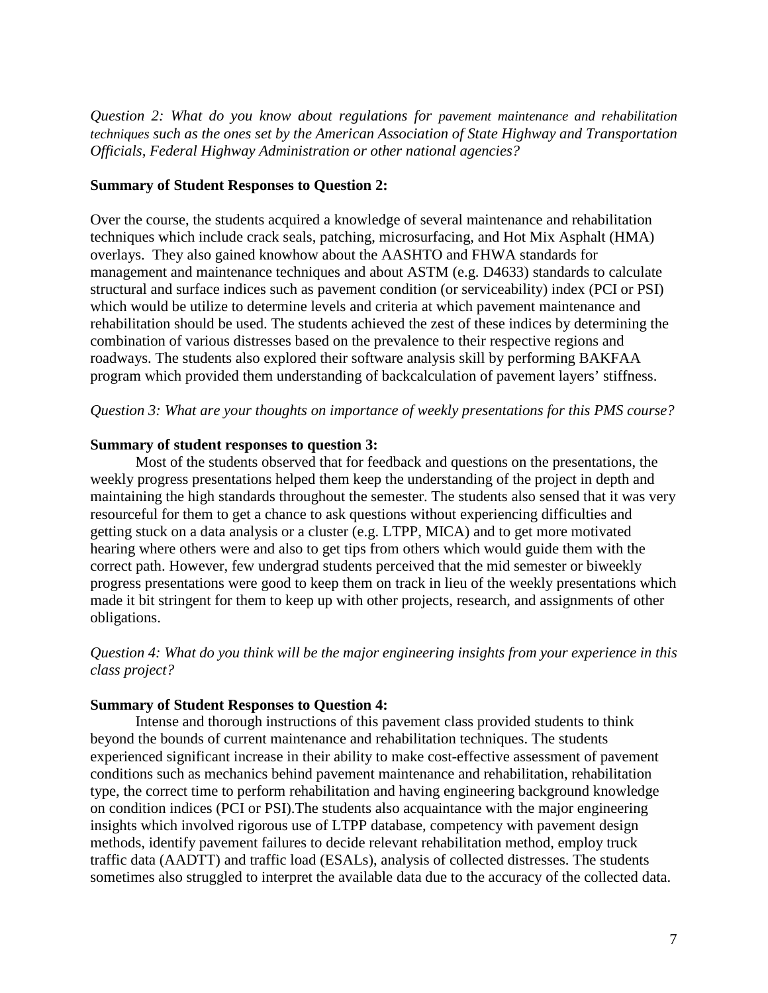*Question 2: What do you know about regulations for pavement maintenance and rehabilitation techniques such as the ones set by the American Association of State Highway and Transportation Officials, Federal Highway Administration or other national agencies?*

## **Summary of Student Responses to Question 2:**

Over the course, the students acquired a knowledge of several maintenance and rehabilitation techniques which include crack seals, patching, microsurfacing, and Hot Mix Asphalt (HMA) overlays. They also gained knowhow about the AASHTO and FHWA standards for management and maintenance techniques and about ASTM (e.g. D4633) standards to calculate structural and surface indices such as pavement condition (or serviceability) index (PCI or PSI) which would be utilize to determine levels and criteria at which pavement maintenance and rehabilitation should be used. The students achieved the zest of these indices by determining the combination of various distresses based on the prevalence to their respective regions and roadways. The students also explored their software analysis skill by performing BAKFAA program which provided them understanding of backcalculation of pavement layers' stiffness.

*Question 3: What are your thoughts on importance of weekly presentations for this PMS course?*

## **Summary of student responses to question 3:**

Most of the students observed that for feedback and questions on the presentations, the weekly progress presentations helped them keep the understanding of the project in depth and maintaining the high standards throughout the semester. The students also sensed that it was very resourceful for them to get a chance to ask questions without experiencing difficulties and getting stuck on a data analysis or a cluster (e.g. LTPP, MICA) and to get more motivated hearing where others were and also to get tips from others which would guide them with the correct path. However, few undergrad students perceived that the mid semester or biweekly progress presentations were good to keep them on track in lieu of the weekly presentations which made it bit stringent for them to keep up with other projects, research, and assignments of other obligations.

*Question 4: What do you think will be the major engineering insights from your experience in this class project?*

## **Summary of Student Responses to Question 4:**

Intense and thorough instructions of this pavement class provided students to think beyond the bounds of current maintenance and rehabilitation techniques. The students experienced significant increase in their ability to make cost-effective assessment of pavement conditions such as mechanics behind pavement maintenance and rehabilitation, rehabilitation type, the correct time to perform rehabilitation and having engineering background knowledge on condition indices (PCI or PSI).The students also acquaintance with the major engineering insights which involved rigorous use of LTPP database, competency with pavement design methods, identify pavement failures to decide relevant rehabilitation method, employ truck traffic data (AADTT) and traffic load (ESALs), analysis of collected distresses. The students sometimes also struggled to interpret the available data due to the accuracy of the collected data.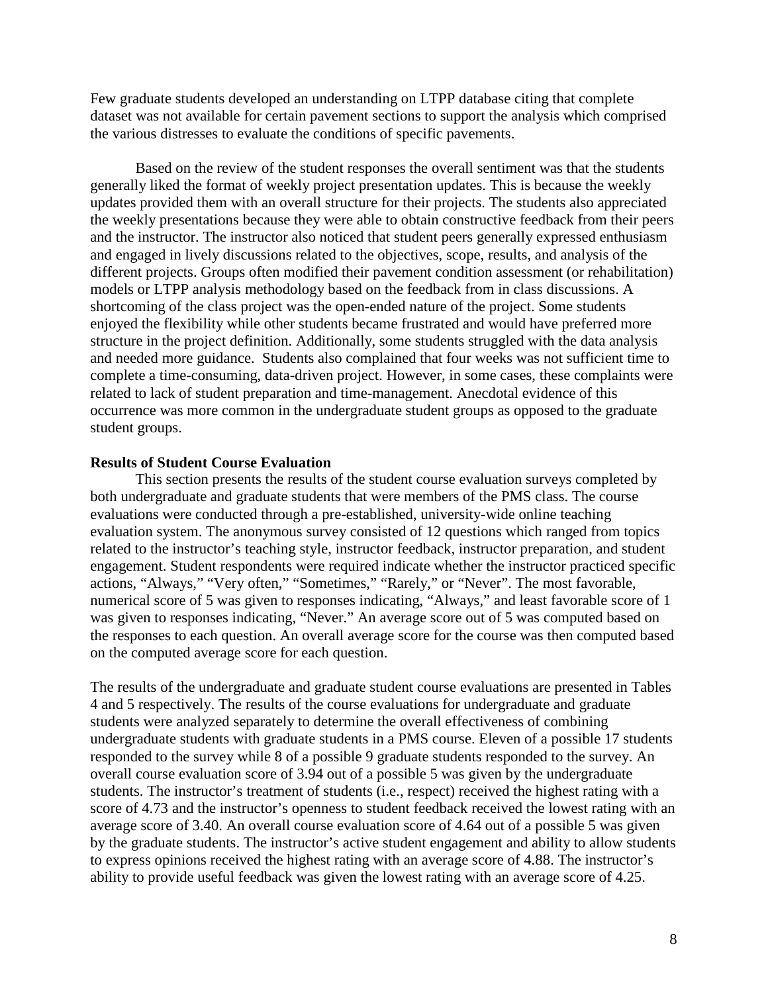Few graduate students developed an understanding on LTPP database citing that complete dataset was not available for certain pavement sections to support the analysis which comprised the various distresses to evaluate the conditions of specific pavements.

Based on the review of the student responses the overall sentiment was that the students generally liked the format of weekly project presentation updates. This is because the weekly updates provided them with an overall structure for their projects. The students also appreciated the weekly presentations because they were able to obtain constructive feedback from their peers and the instructor. The instructor also noticed that student peers generally expressed enthusiasm and engaged in lively discussions related to the objectives, scope, results, and analysis of the different projects. Groups often modified their pavement condition assessment (or rehabilitation) models or LTPP analysis methodology based on the feedback from in class discussions. A shortcoming of the class project was the open-ended nature of the project. Some students enjoyed the flexibility while other students became frustrated and would have preferred more structure in the project definition. Additionally, some students struggled with the data analysis and needed more guidance. Students also complained that four weeks was not sufficient time to complete a time-consuming, data-driven project. However, in some cases, these complaints were related to lack of student preparation and time-management. Anecdotal evidence of this occurrence was more common in the undergraduate student groups as opposed to the graduate student groups.

#### **Results of Student Course Evaluation**

This section presents the results of the student course evaluation surveys completed by both undergraduate and graduate students that were members of the PMS class. The course evaluations were conducted through a pre-established, university-wide online teaching evaluation system. The anonymous survey consisted of 12 questions which ranged from topics related to the instructor's teaching style, instructor feedback, instructor preparation, and student engagement. Student respondents were required indicate whether the instructor practiced specific actions, "Always," "Very often," "Sometimes," "Rarely," or "Never". The most favorable, numerical score of 5 was given to responses indicating, "Always," and least favorable score of 1 was given to responses indicating, "Never." An average score out of 5 was computed based on the responses to each question. An overall average score for the course was then computed based on the computed average score for each question.

The results of the undergraduate and graduate student course evaluations are presented in Tables 4 and 5 respectively. The results of the course evaluations for undergraduate and graduate students were analyzed separately to determine the overall effectiveness of combining undergraduate students with graduate students in a PMS course. Eleven of a possible 17 students responded to the survey while 8 of a possible 9 graduate students responded to the survey. An overall course evaluation score of 3.94 out of a possible 5 was given by the undergraduate students. The instructor's treatment of students (i.e., respect) received the highest rating with a score of 4.73 and the instructor's openness to student feedback received the lowest rating with an average score of 3.40. An overall course evaluation score of 4.64 out of a possible 5 was given by the graduate students. The instructor's active student engagement and ability to allow students to express opinions received the highest rating with an average score of 4.88. The instructor's ability to provide useful feedback was given the lowest rating with an average score of 4.25.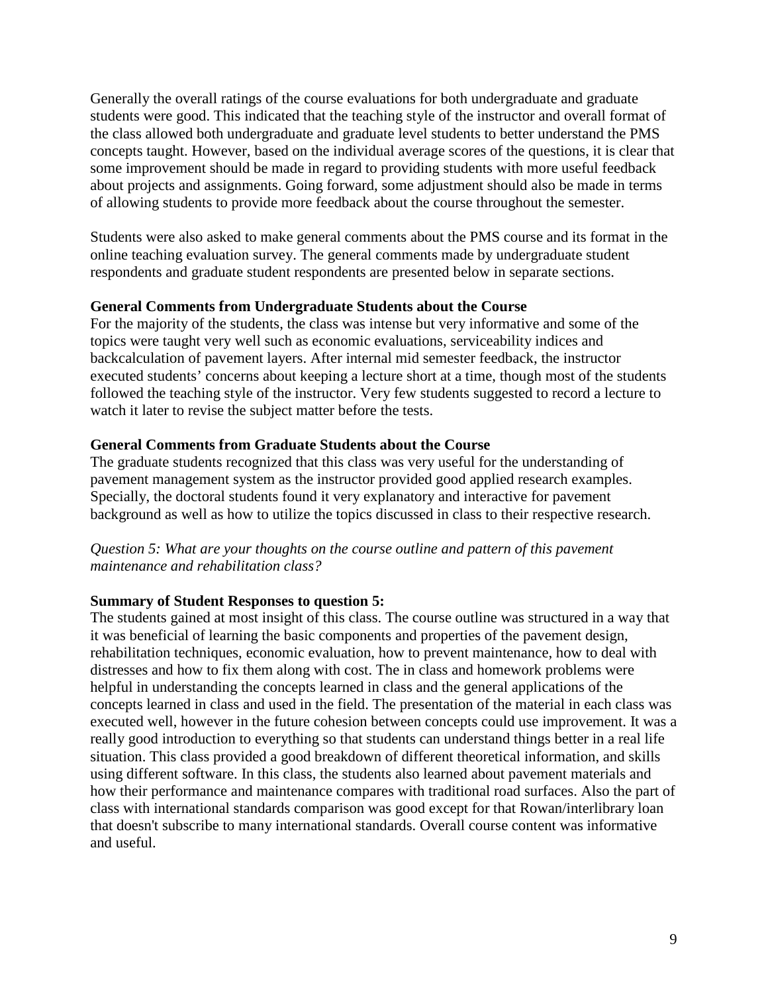Generally the overall ratings of the course evaluations for both undergraduate and graduate students were good. This indicated that the teaching style of the instructor and overall format of the class allowed both undergraduate and graduate level students to better understand the PMS concepts taught. However, based on the individual average scores of the questions, it is clear that some improvement should be made in regard to providing students with more useful feedback about projects and assignments. Going forward, some adjustment should also be made in terms of allowing students to provide more feedback about the course throughout the semester.

Students were also asked to make general comments about the PMS course and its format in the online teaching evaluation survey. The general comments made by undergraduate student respondents and graduate student respondents are presented below in separate sections.

## **General Comments from Undergraduate Students about the Course**

For the majority of the students, the class was intense but very informative and some of the topics were taught very well such as economic evaluations, serviceability indices and backcalculation of pavement layers. After internal mid semester feedback, the instructor executed students' concerns about keeping a lecture short at a time, though most of the students followed the teaching style of the instructor. Very few students suggested to record a lecture to watch it later to revise the subject matter before the tests.

#### **General Comments from Graduate Students about the Course**

The graduate students recognized that this class was very useful for the understanding of pavement management system as the instructor provided good applied research examples. Specially, the doctoral students found it very explanatory and interactive for pavement background as well as how to utilize the topics discussed in class to their respective research.

## *Question 5: What are your thoughts on the course outline and pattern of this pavement maintenance and rehabilitation class?*

#### **Summary of Student Responses to question 5:**

The students gained at most insight of this class. The course outline was structured in a way that it was beneficial of learning the basic components and properties of the pavement design, rehabilitation techniques, economic evaluation, how to prevent maintenance, how to deal with distresses and how to fix them along with cost. The in class and homework problems were helpful in understanding the concepts learned in class and the general applications of the concepts learned in class and used in the field. The presentation of the material in each class was executed well, however in the future cohesion between concepts could use improvement. It was a really good introduction to everything so that students can understand things better in a real life situation. This class provided a good breakdown of different theoretical information, and skills using different software. In this class, the students also learned about pavement materials and how their performance and maintenance compares with traditional road surfaces. Also the part of class with international standards comparison was good except for that Rowan/interlibrary loan that doesn't subscribe to many international standards. Overall course content was informative and useful.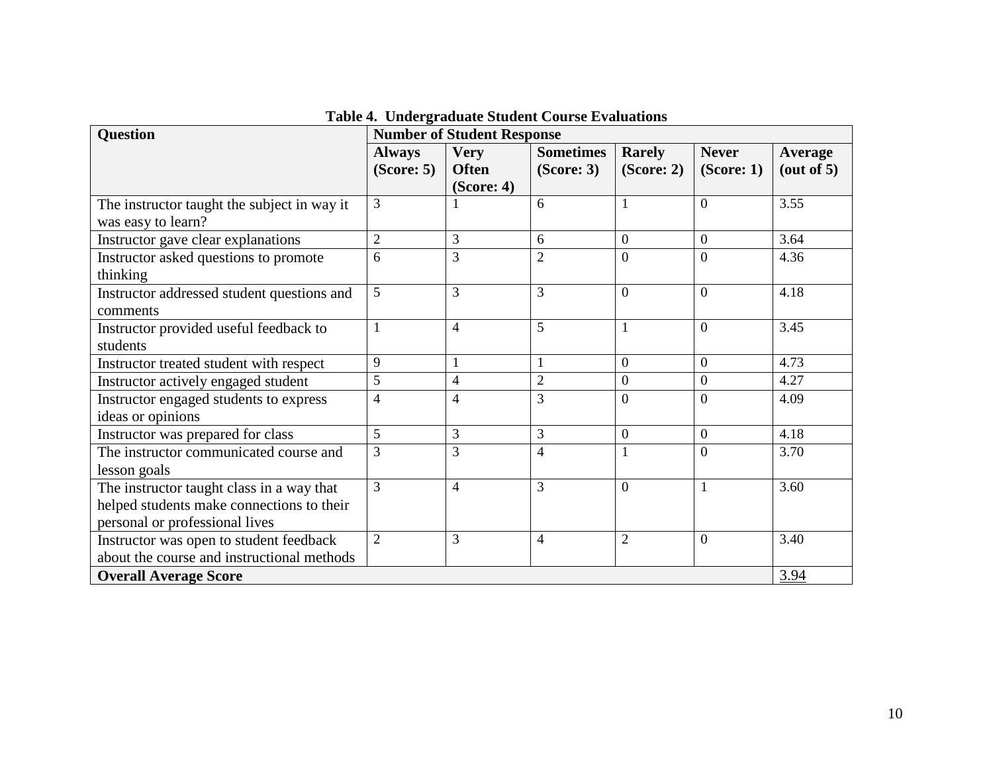| <b>Question</b>                             | <b>Number of Student Response</b> |                |                  |                |                  |            |
|---------------------------------------------|-----------------------------------|----------------|------------------|----------------|------------------|------------|
|                                             | <b>Always</b>                     | <b>Very</b>    | <b>Sometimes</b> | <b>Rarely</b>  | <b>Never</b>     | Average    |
|                                             | (Score: 5)                        | <b>Often</b>   | (Score: 3)       | (Score: 2)     | (Score: 1)       | (out of 5) |
|                                             |                                   | (Score: 4)     |                  |                |                  |            |
| The instructor taught the subject in way it | 3                                 |                | 6                | $\mathbf{1}$   | $\overline{0}$   | 3.55       |
| was easy to learn?                          |                                   |                |                  |                |                  |            |
| Instructor gave clear explanations          | $\overline{2}$                    | $\overline{3}$ | 6                | $\mathbf{0}$   | $\boldsymbol{0}$ | 3.64       |
| Instructor asked questions to promote       | 6                                 | 3              | $\overline{2}$   | $\overline{0}$ | $\overline{0}$   | 4.36       |
| thinking                                    |                                   |                |                  |                |                  |            |
| Instructor addressed student questions and  | 5                                 | 3              | 3                | $\overline{0}$ | $\overline{0}$   | 4.18       |
| comments                                    |                                   |                |                  |                |                  |            |
| Instructor provided useful feedback to      | 1                                 | $\overline{4}$ | 5                | $\mathbf{1}$   | $\overline{0}$   | 3.45       |
| students                                    |                                   |                |                  |                |                  |            |
| Instructor treated student with respect     | 9                                 | $\mathbf{1}$   | $\mathbf{1}$     | $\mathbf{0}$   | $\overline{0}$   | 4.73       |
| Instructor actively engaged student         | 5                                 | $\overline{4}$ | $\overline{2}$   | $\mathbf{0}$   | $\boldsymbol{0}$ | 4.27       |
| Instructor engaged students to express      | 4                                 | 4              | 3                | $\Omega$       | $\overline{0}$   | 4.09       |
| ideas or opinions                           |                                   |                |                  |                |                  |            |
| Instructor was prepared for class           | 5                                 | $\mathfrak{Z}$ | 3                | $\mathbf{0}$   | $\mathbf{0}$     | 4.18       |
| The instructor communicated course and      | 3                                 | 3              | $\overline{4}$   | $\mathbf{1}$   | $\overline{0}$   | 3.70       |
| lesson goals                                |                                   |                |                  |                |                  |            |
| The instructor taught class in a way that   | 3                                 | $\overline{4}$ | 3                | $\theta$       | $\mathbf{1}$     | 3.60       |
| helped students make connections to their   |                                   |                |                  |                |                  |            |
| personal or professional lives              |                                   |                |                  |                |                  |            |
| Instructor was open to student feedback     | $\overline{2}$                    | 3              | $\overline{4}$   | $\overline{2}$ | $\boldsymbol{0}$ | 3.40       |
| about the course and instructional methods  |                                   |                |                  |                |                  |            |
| <b>Overall Average Score</b>                |                                   |                |                  |                | 3.94             |            |

**Table 4. Undergraduate Student Course Evaluations**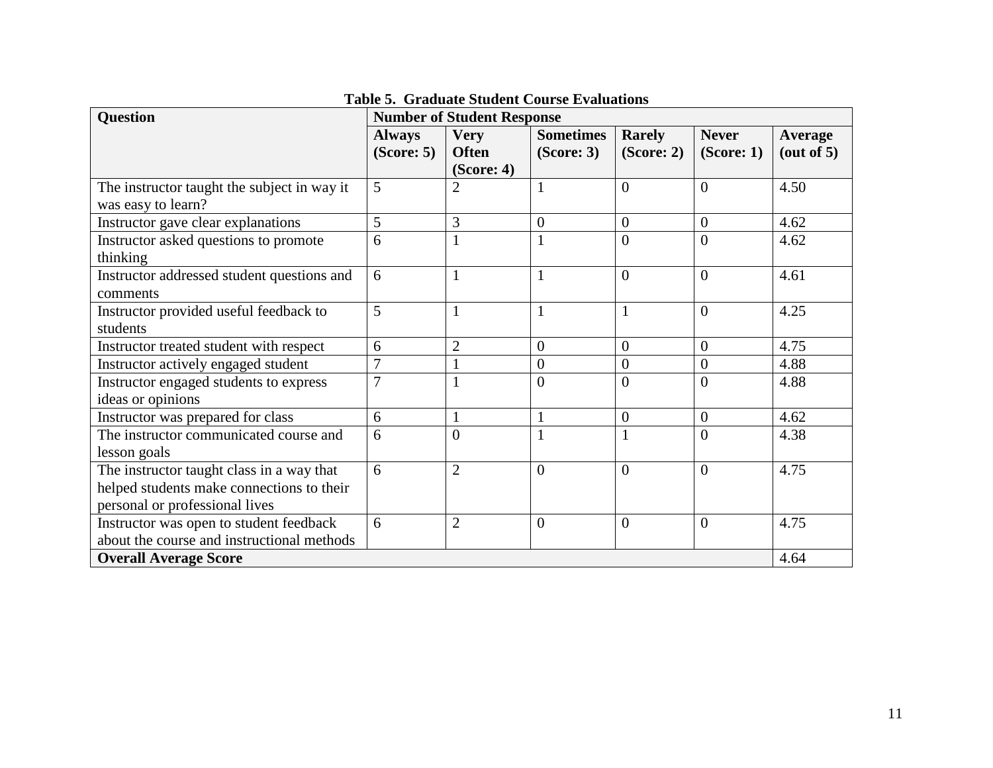| <b>Question</b>                                                   | <b>Number of Student Response</b> |                |                  |                |                  |                      |
|-------------------------------------------------------------------|-----------------------------------|----------------|------------------|----------------|------------------|----------------------|
|                                                                   | <b>Always</b>                     | <b>Very</b>    | <b>Sometimes</b> | <b>Rarely</b>  | <b>Never</b>     | <b>Average</b>       |
|                                                                   | (Score: 5)                        | <b>Often</b>   | (Score: 3)       | (Score: 2)     | (Score: 1)       | $(\text{out of } 5)$ |
|                                                                   |                                   | (Score: 4)     |                  |                |                  |                      |
| The instructor taught the subject in way it<br>was easy to learn? | 5                                 | $\overline{2}$ | 1                | $\overline{0}$ | $\overline{0}$   | 4.50                 |
| Instructor gave clear explanations                                | 5                                 | 3              | $\boldsymbol{0}$ | $\overline{0}$ | $\overline{0}$   | 4.62                 |
| Instructor asked questions to promote<br>thinking                 | 6                                 | $\mathbf{1}$   | 1                | $\theta$       | $\overline{0}$   | 4.62                 |
| Instructor addressed student questions and<br>comments            | 6                                 | $\mathbf{1}$   | 1                | $\overline{0}$ | $\overline{0}$   | 4.61                 |
| Instructor provided useful feedback to                            | 5                                 | $\mathbf{1}$   | $\mathbf{1}$     | $\mathbf{1}$   | $\theta$         | 4.25                 |
| students                                                          |                                   |                |                  |                |                  |                      |
| Instructor treated student with respect                           | 6                                 | $\overline{2}$ | $\boldsymbol{0}$ | $\overline{0}$ | $\boldsymbol{0}$ | 4.75                 |
| Instructor actively engaged student                               | $\overline{7}$                    |                | $\boldsymbol{0}$ | $\overline{0}$ | $\boldsymbol{0}$ | 4.88                 |
| Instructor engaged students to express                            | $\overline{7}$                    | 1              | $\overline{0}$   | $\theta$       | $\overline{0}$   | 4.88                 |
| ideas or opinions                                                 |                                   |                |                  |                |                  |                      |
| Instructor was prepared for class                                 | 6                                 | $\mathbf{1}$   | 1                | $\overline{0}$ | $\overline{0}$   | 4.62                 |
| The instructor communicated course and                            | 6                                 | $\overline{0}$ |                  | $\mathbf{1}$   | $\overline{0}$   | 4.38                 |
| lesson goals                                                      |                                   |                |                  |                |                  |                      |
| The instructor taught class in a way that                         | 6                                 | $\overline{2}$ | $\overline{0}$   | $\overline{0}$ | $\overline{0}$   | 4.75                 |
| helped students make connections to their                         |                                   |                |                  |                |                  |                      |
| personal or professional lives                                    |                                   |                |                  |                |                  |                      |
| Instructor was open to student feedback                           | 6                                 | $\overline{2}$ | $\boldsymbol{0}$ | $\overline{0}$ | $\overline{0}$   | 4.75                 |
| about the course and instructional methods                        |                                   |                |                  |                |                  |                      |
| <b>Overall Average Score</b>                                      |                                   |                |                  |                | 4.64             |                      |

**Table 5. Graduate Student Course Evaluations**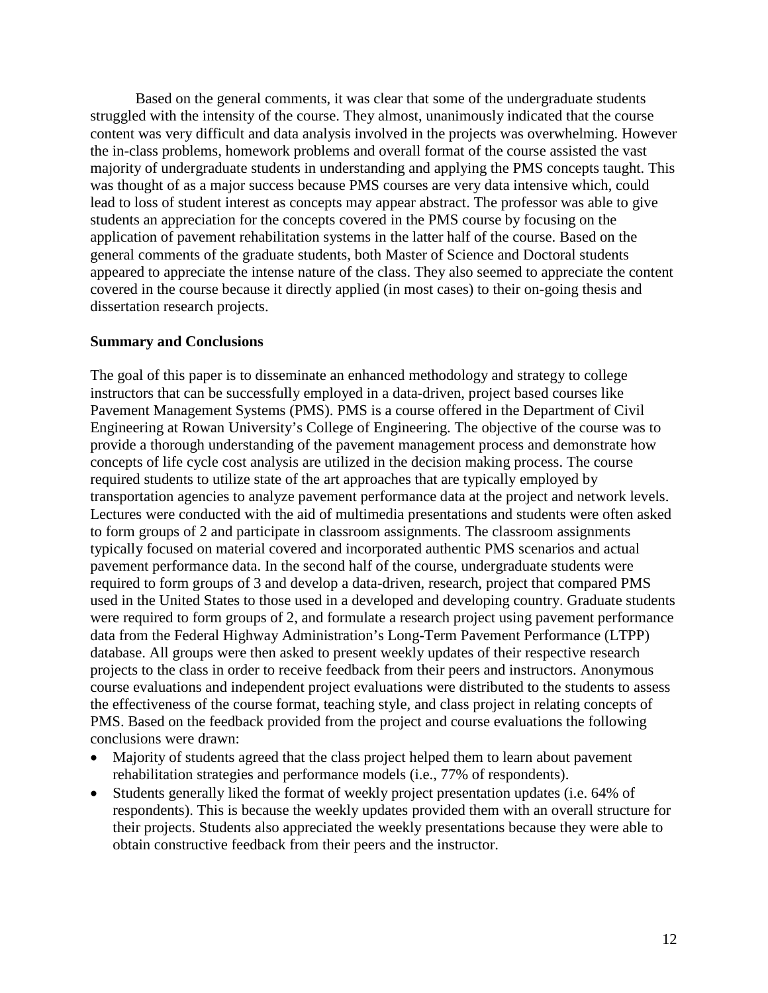Based on the general comments, it was clear that some of the undergraduate students struggled with the intensity of the course. They almost, unanimously indicated that the course content was very difficult and data analysis involved in the projects was overwhelming. However the in-class problems, homework problems and overall format of the course assisted the vast majority of undergraduate students in understanding and applying the PMS concepts taught. This was thought of as a major success because PMS courses are very data intensive which, could lead to loss of student interest as concepts may appear abstract. The professor was able to give students an appreciation for the concepts covered in the PMS course by focusing on the application of pavement rehabilitation systems in the latter half of the course. Based on the general comments of the graduate students, both Master of Science and Doctoral students appeared to appreciate the intense nature of the class. They also seemed to appreciate the content covered in the course because it directly applied (in most cases) to their on-going thesis and dissertation research projects.

## **Summary and Conclusions**

The goal of this paper is to disseminate an enhanced methodology and strategy to college instructors that can be successfully employed in a data-driven, project based courses like Pavement Management Systems (PMS). PMS is a course offered in the Department of Civil Engineering at Rowan University's College of Engineering. The objective of the course was to provide a thorough understanding of the pavement management process and demonstrate how concepts of life cycle cost analysis are utilized in the decision making process. The course required students to utilize state of the art approaches that are typically employed by transportation agencies to analyze pavement performance data at the project and network levels. Lectures were conducted with the aid of multimedia presentations and students were often asked to form groups of 2 and participate in classroom assignments. The classroom assignments typically focused on material covered and incorporated authentic PMS scenarios and actual pavement performance data. In the second half of the course, undergraduate students were required to form groups of 3 and develop a data-driven, research, project that compared PMS used in the United States to those used in a developed and developing country. Graduate students were required to form groups of 2, and formulate a research project using pavement performance data from the Federal Highway Administration's Long-Term Pavement Performance (LTPP) database. All groups were then asked to present weekly updates of their respective research projects to the class in order to receive feedback from their peers and instructors. Anonymous course evaluations and independent project evaluations were distributed to the students to assess the effectiveness of the course format, teaching style, and class project in relating concepts of PMS. Based on the feedback provided from the project and course evaluations the following conclusions were drawn:

- Majority of students agreed that the class project helped them to learn about pavement rehabilitation strategies and performance models (i.e., 77% of respondents).
- Students generally liked the format of weekly project presentation updates (i.e. 64% of respondents). This is because the weekly updates provided them with an overall structure for their projects. Students also appreciated the weekly presentations because they were able to obtain constructive feedback from their peers and the instructor.